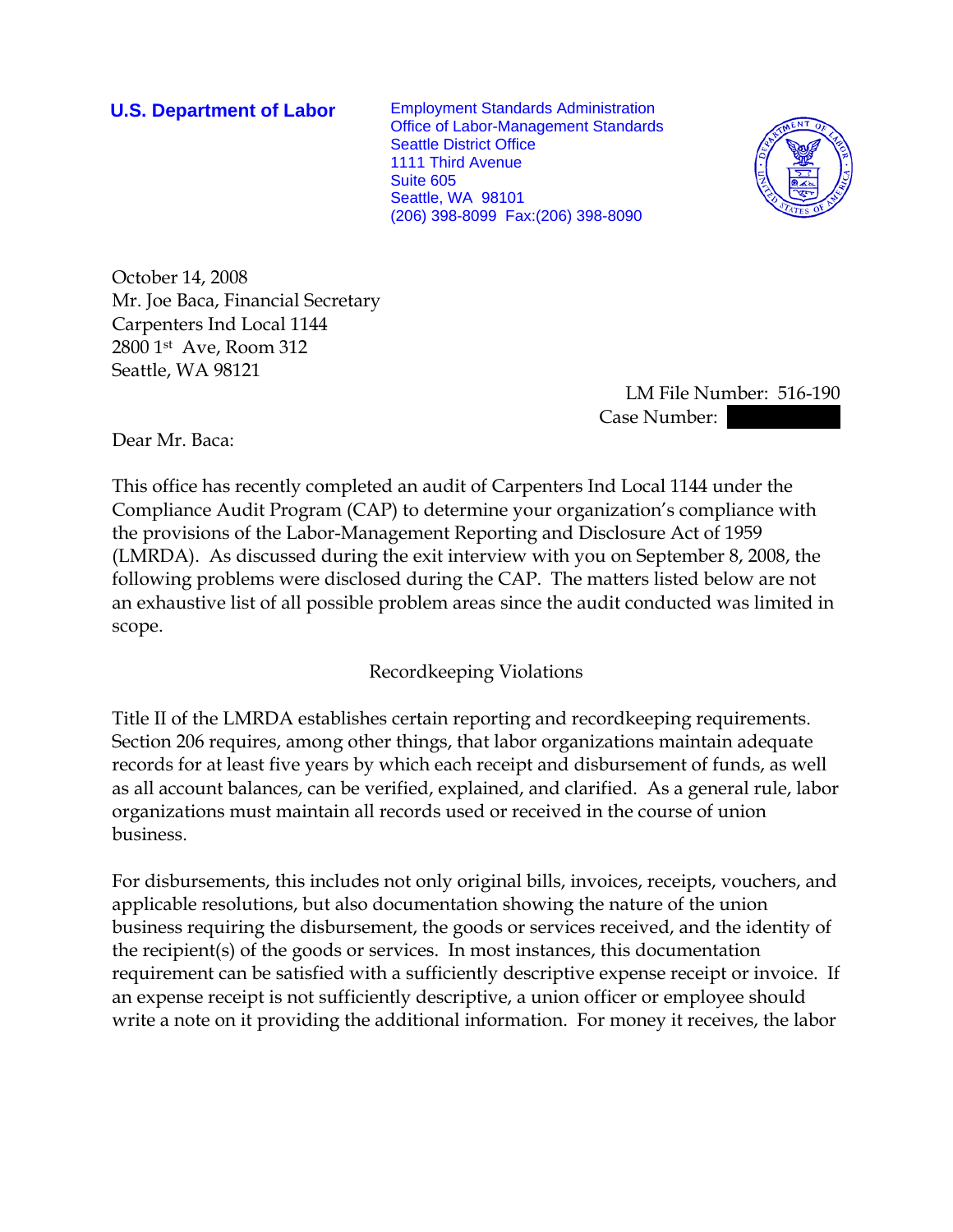**U.S. Department of Labor** Employment Standards Administration Office of Labor-Management Standards Seattle District Office 1111 Third Avenue Suite 605 Seattle, WA 98101 (206) 398-8099 Fax:(206) 398-8090



October 14, 2008 Mr. Joe Baca, Financial Secretary Carpenters Ind Local 1144 2800 1st Ave, Room 312 Seattle, WA 98121

> LM File Number: 516-190 Case Number:

Dear Mr. Baca:

This office has recently completed an audit of Carpenters Ind Local 1144 under the Compliance Audit Program (CAP) to determine your organization's compliance with the provisions of the Labor-Management Reporting and Disclosure Act of 1959 (LMRDA). As discussed during the exit interview with you on September 8, 2008, the following problems were disclosed during the CAP. The matters listed below are not an exhaustive list of all possible problem areas since the audit conducted was limited in scope.

## Recordkeeping Violations

Title II of the LMRDA establishes certain reporting and recordkeeping requirements. Section 206 requires, among other things, that labor organizations maintain adequate records for at least five years by which each receipt and disbursement of funds, as well as all account balances, can be verified, explained, and clarified. As a general rule, labor organizations must maintain all records used or received in the course of union business.

For disbursements, this includes not only original bills, invoices, receipts, vouchers, and applicable resolutions, but also documentation showing the nature of the union business requiring the disbursement, the goods or services received, and the identity of the recipient(s) of the goods or services. In most instances, this documentation requirement can be satisfied with a sufficiently descriptive expense receipt or invoice. If an expense receipt is not sufficiently descriptive, a union officer or employee should write a note on it providing the additional information. For money it receives, the labor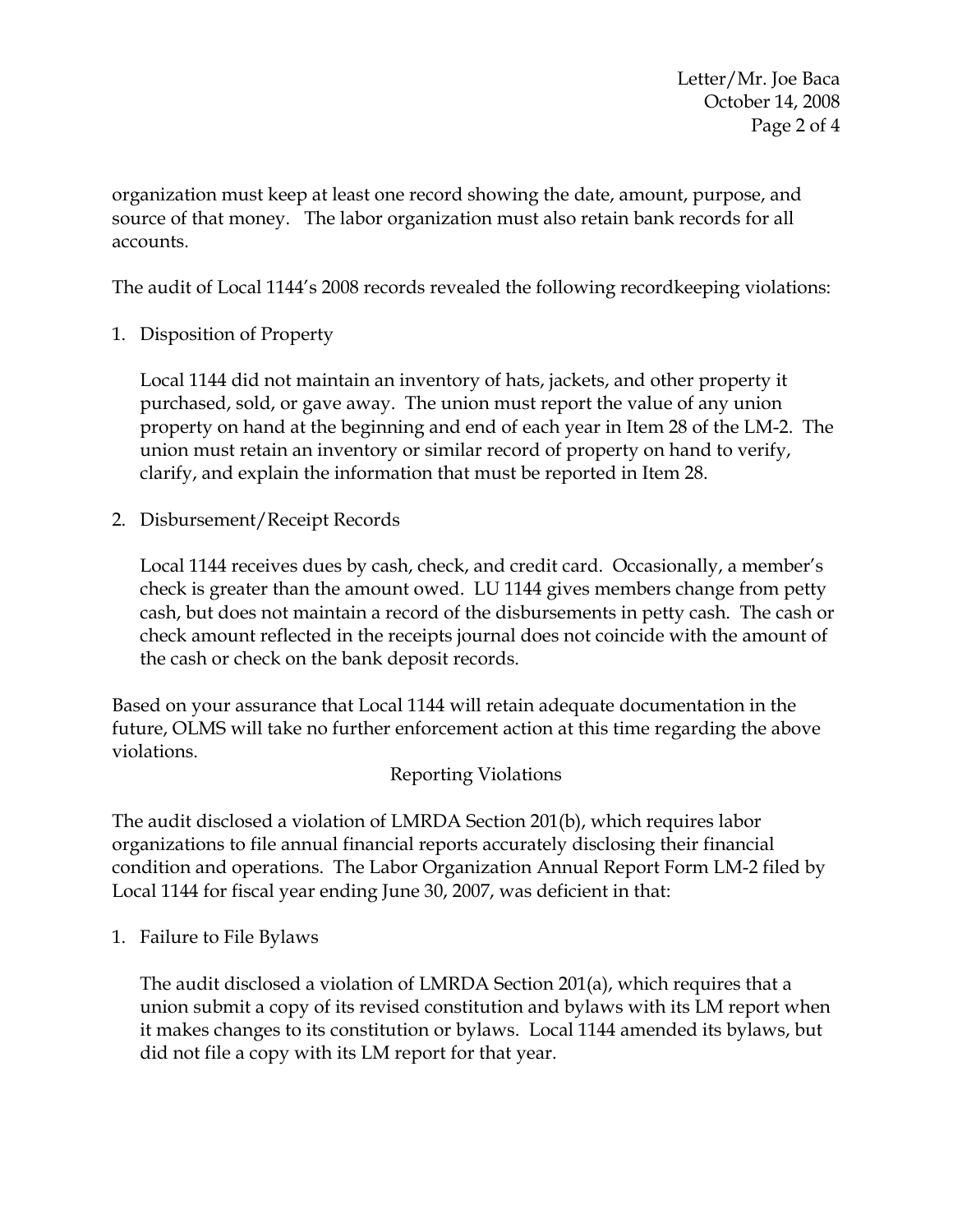Letter/Mr. Joe Baca October 14, 2008 Page 2 of 4

organization must keep at least one record showing the date, amount, purpose, and source of that money. The labor organization must also retain bank records for all accounts.

The audit of Local 1144's 2008 records revealed the following recordkeeping violations:

1. Disposition of Property

Local 1144 did not maintain an inventory of hats, jackets, and other property it purchased, sold, or gave away. The union must report the value of any union property on hand at the beginning and end of each year in Item 28 of the LM-2. The union must retain an inventory or similar record of property on hand to verify, clarify, and explain the information that must be reported in Item 28.

2. Disbursement/Receipt Records

Local 1144 receives dues by cash, check, and credit card. Occasionally, a member's check is greater than the amount owed. LU 1144 gives members change from petty cash, but does not maintain a record of the disbursements in petty cash. The cash or check amount reflected in the receipts journal does not coincide with the amount of the cash or check on the bank deposit records.

Based on your assurance that Local 1144 will retain adequate documentation in the future, OLMS will take no further enforcement action at this time regarding the above violations.

## Reporting Violations

The audit disclosed a violation of LMRDA Section 201(b), which requires labor organizations to file annual financial reports accurately disclosing their financial condition and operations. The Labor Organization Annual Report Form LM-2 filed by Local 1144 for fiscal year ending June 30, 2007, was deficient in that:

1. Failure to File Bylaws

The audit disclosed a violation of LMRDA Section 201(a), which requires that a union submit a copy of its revised constitution and bylaws with its LM report when it makes changes to its constitution or bylaws. Local 1144 amended its bylaws, but did not file a copy with its LM report for that year.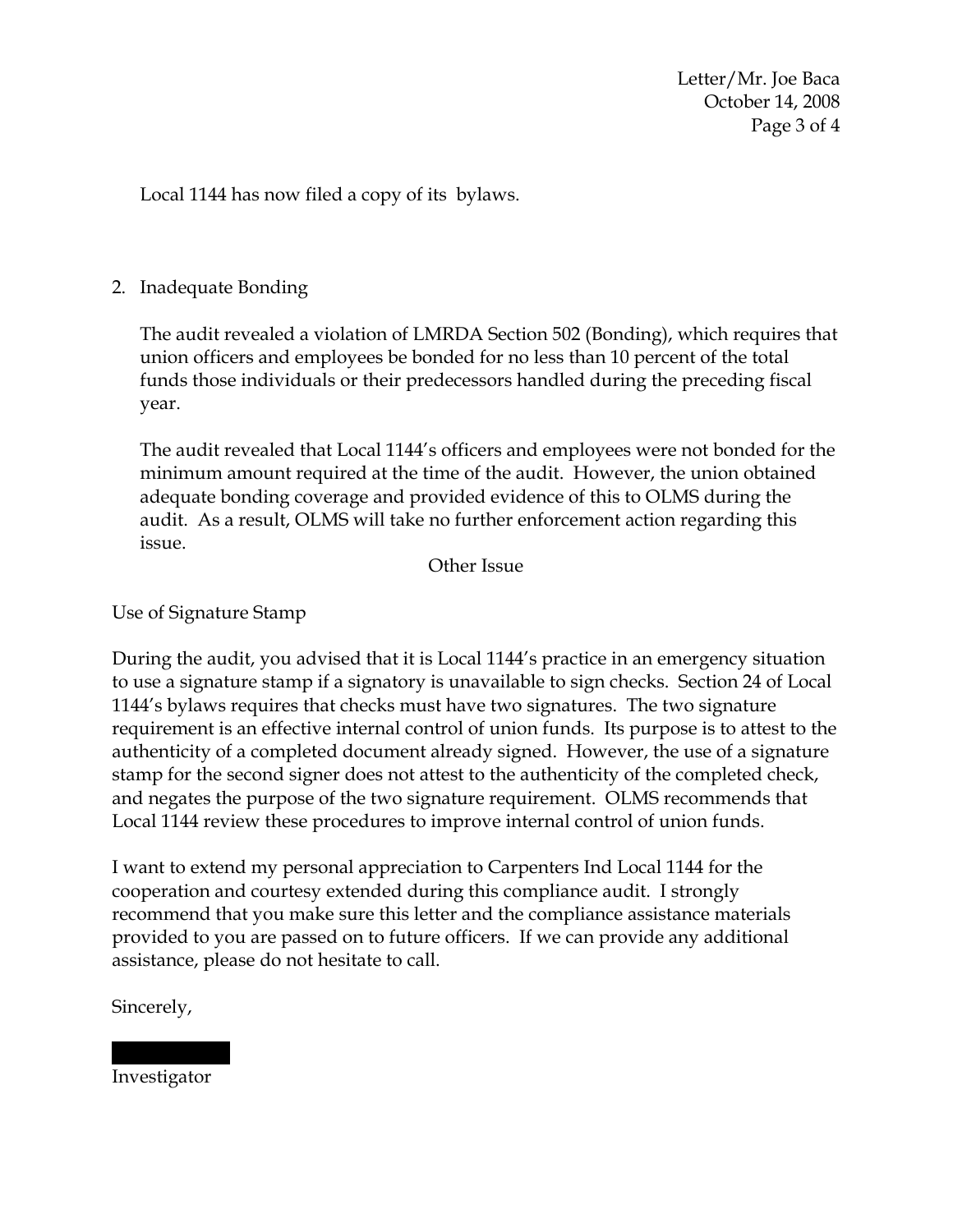Letter/Mr. Joe Baca October 14, 2008 Page 3 of 4

Local 1144 has now filed a copy of its bylaws.

## 2. Inadequate Bonding

The audit revealed a violation of LMRDA Section 502 (Bonding), which requires that union officers and employees be bonded for no less than 10 percent of the total funds those individuals or their predecessors handled during the preceding fiscal year.

The audit revealed that Local 1144's officers and employees were not bonded for the minimum amount required at the time of the audit. However, the union obtained adequate bonding coverage and provided evidence of this to OLMS during the audit. As a result, OLMS will take no further enforcement action regarding this issue.

Other Issue

Use of Signature Stamp

During the audit, you advised that it is Local 1144's practice in an emergency situation to use a signature stamp if a signatory is unavailable to sign checks. Section 24 of Local 1144's bylaws requires that checks must have two signatures. The two signature requirement is an effective internal control of union funds. Its purpose is to attest to the authenticity of a completed document already signed. However, the use of a signature stamp for the second signer does not attest to the authenticity of the completed check, and negates the purpose of the two signature requirement. OLMS recommends that Local 1144 review these procedures to improve internal control of union funds.

I want to extend my personal appreciation to Carpenters Ind Local 1144 for the cooperation and courtesy extended during this compliance audit. I strongly recommend that you make sure this letter and the compliance assistance materials provided to you are passed on to future officers. If we can provide any additional assistance, please do not hesitate to call.

Sincerely,

Investigator

|||| ||||||